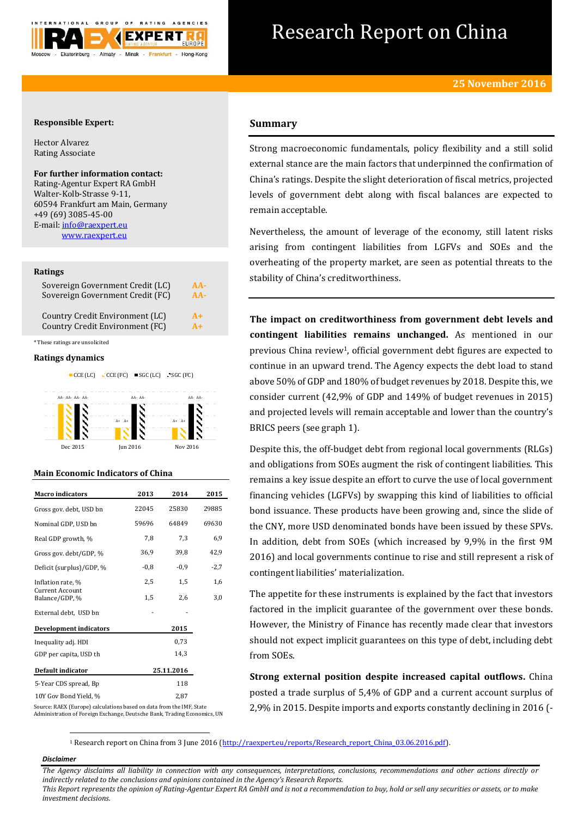

# Research Report on China

# **Responsible Expert:**

Hector Alvarez Rating Associate

# **For further information contact:**

Rating-Agentur Expert RA GmbH Walter-Kolb-Strasse 9-11, 60594 Frankfurt am Main, Germany +49 (69) 3085-45-00 E-mail[: info@raexpert.eu](mailto:info@raexpert.eu) [www.raexpert.eu](http://raexpert.eu/)

# **Ratings**

| Sovereign Government Credit (LC) | $AA-$ |
|----------------------------------|-------|
| Sovereign Government Credit (FC) | $AA-$ |
| Country Credit Environment (LC)  | $A+$  |
| Country Credit Environment (FC)  | $A+$  |

\* These ratings are unsolicited

### **Ratings dynamics**



| <b>Macro</b> indicators           | 2013   | 2014       | 2015  |
|-----------------------------------|--------|------------|-------|
| Gross gov. debt, USD bn           | 22045  | 25830      | 29885 |
| Nominal GDP, USD bn               | 59696  | 64849      | 69630 |
| Real GDP growth, %                | 7,8    | 7,3        | 6,9   |
| Gross gov. debt/GDP, %            | 36.9   | 39.8       | 42,9  |
| Deficit (surplus)/GDP, %          | $-0.8$ | $-0.9$     | -2,7  |
| Inflation rate, %                 | 2,5    | 1,5        | 1,6   |
| Current Account<br>Balance/GDP, % | 1,5    | 2,6        | 3,0   |
| External debt, USD bn             |        |            |       |
| <b>Development indicators</b>     |        | 2015       |       |
| Inequality adj. HDI               |        | 0,73       |       |
| GDP per capita, USD th            |        | 14,3       |       |
| Default indicator                 |        | 25.11.2016 |       |
| 5-Year CDS spread, Bp             |        | 118        |       |
| 10Y Gov Bond Yield, %             |        | 2.87       |       |

# **Summary**

Strong macroeconomic fundamentals, policy flexibility and a still solid external stance are the main factors that underpinned the confirmation of China's ratings. Despite the slight deterioration of fiscal metrics, projected levels of government debt along with fiscal balances are expected to remain acceptable.

Nevertheless, the amount of leverage of the economy, still latent risks arising from contingent liabilities from LGFVs and SOEs and the overheating of the property market, are seen as potential threats to the stability of China's creditworthiness.

**The impact on creditworthiness from government debt levels and contingent liabilities remains unchanged.** As mentioned in our previous China review<sup>1</sup>, official government debt figures are expected to continue in an upward trend. The Agency expects the debt load to stand above 50% of GDP and 180% of budget revenues by 2018. Despite this, we consider current (42,9% of GDP and 149% of budget revenues in 2015) and projected levels will remain acceptable and lower than the country's BRICS peers (see graph 1).

Despite this, the off-budget debt from regional local governments (RLGs) and obligations from SOEs augment the risk of contingent liabilities. This remains a key issue despite an effort to curve the use of local government financing vehicles (LGFVs) by swapping this kind of liabilities to official bond issuance. These products have been growing and, since the slide of the CNY, more USD denominated bonds have been issued by these SPVs. In addition, debt from SOEs (which increased by 9,9% in the first 9M 2016) and local governments continue to rise and still represent a risk of contingent liabilities' materialization.

The appetite for these instruments is explained by the fact that investors factored in the implicit guarantee of the government over these bonds. However, the Ministry of Finance has recently made clear that investors should not expect implicit guarantees on this type of debt, including debt from SOEs.

**Strong external position despite increased capital outflows.** China posted a trade surplus of 5,4% of GDP and a current account surplus of 2,9% in 2015. Despite imports and exports constantly declining in 2016 (-

Source: RAEX (Europe) calculations based on data from the IMF, State Administration of Foreign Exchange, Deutsche Bank, Trading Economics, UN

<sup>1</sup> Research report on China from 3 June 2016 [\(http://raexpert.eu/reports/Research\\_report\\_China\\_03.06.2016.pdf\)](http://raexpert.eu/reports/Research_report_China_03.06.2016.pdf).

# *Disclaimer*

1

*The Agency disclaims all liability in connection with any consequences, interpretations, conclusions, recommendations and other actions directly or indirectly related to the conclusions and opinions contained in the Agency's Research Reports.*

*This Report represents the opinion of Rating-Agentur Expert RA GmbH and is not a recommendation to buy, hold or sell any securities or assets, or to make investment decisions.*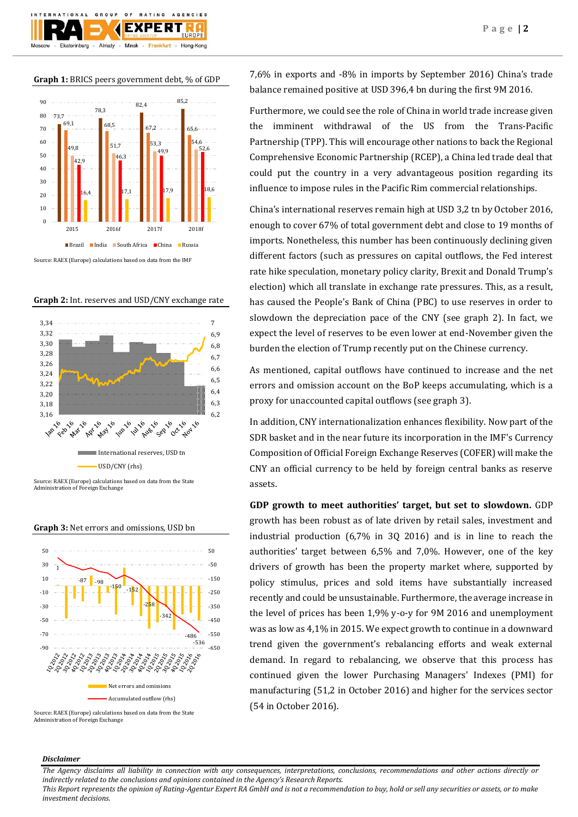**Graph 1:** BRICS peers government debt, % of GDP

 $O F$ 

Minsk -

GROUP

Almaty -

 $10N$ 

Ekaterinburg

**BATING** 

FXPFRT

Frankfurt -

AGENCIES

Hong-Kong



Source: RAEX (Europe) calculations based on data from the IMF





Administration of Foreign Exchange



**Graph 3:** Net errors and omissions, USD bn

Source: RAEX (Europe) calculations based on data from the State Administration of Foreign Exchange

7,6% in exports and -8% in imports by September 2016) China's trade balance remained positive at USD 396,4 bn during the first 9M 2016.

Furthermore, we could see the role of China in world trade increase given the imminent withdrawal of the US from the Trans-Pacific Partnership (TPP). This will encourage other nations to back the Regional Comprehensive Economic Partnership (RCEP), a China led trade deal that could put the country in a very advantageous position regarding its influence to impose rules in the Pacific Rim commercial relationships.

China's international reserves remain high at USD 3,2 tn by October 2016, enough to cover 67% of total government debt and close to 19 months of imports. Nonetheless, this number has been continuously declining given different factors (such as pressures on capital outflows, the Fed interest rate hike speculation, monetary policy clarity, Brexit and Donald Trump's election) which all translate in exchange rate pressures. This, as a result, has caused the People's Bank of China (PBC) to use reserves in order to slowdown the depreciation pace of the CNY (see graph 2). In fact, we expect the level of reserves to be even lower at end-November given the burden the election of Trump recently put on the Chinese currency.

As mentioned, capital outflows have continued to increase and the net errors and omission account on the BoP keeps accumulating, which is a proxy for unaccounted capital outflows (see graph 3).

In addition, CNY internationalization enhances flexibility. Now part of the SDR basket and in the near future its incorporation in the IMF's Currency Composition of Official Foreign Exchange Reserves (COFER) will make the CNY an official currency to be held by foreign central banks as reserve assets.

**GDP growth to meet authorities' target, but set to slowdown.** GDP growth has been robust as of late driven by retail sales, investment and industrial production (6,7% in 3Q 2016) and is in line to reach the authorities' target between 6,5% and 7,0%. However, one of the key drivers of growth has been the property market where, supported by policy stimulus, prices and sold items have substantially increased recently and could be unsustainable. Furthermore, the average increase in the level of prices has been 1,9% y-o-y for 9M 2016 and unemployment was as low as 4,1% in 2015. We expect growth to continue in a downward trend given the government's rebalancing efforts and weak external demand. In regard to rebalancing, we observe that this process has continued given the lower Purchasing Managers' Indexes (PMI) for manufacturing (51,2 in October 2016) and higher for the services sector (54 in October 2016).

### *Disclaimer*

*The Agency disclaims all liability in connection with any consequences, interpretations, conclusions, recommendations and other actions directly or indirectly related to the conclusions and opinions contained in the Agency's Research Reports.*

*This Report represents the opinion of Rating-Agentur Expert RA GmbH and is not a recommendation to buy, hold or sell any securities or assets, or to make investment decisions.*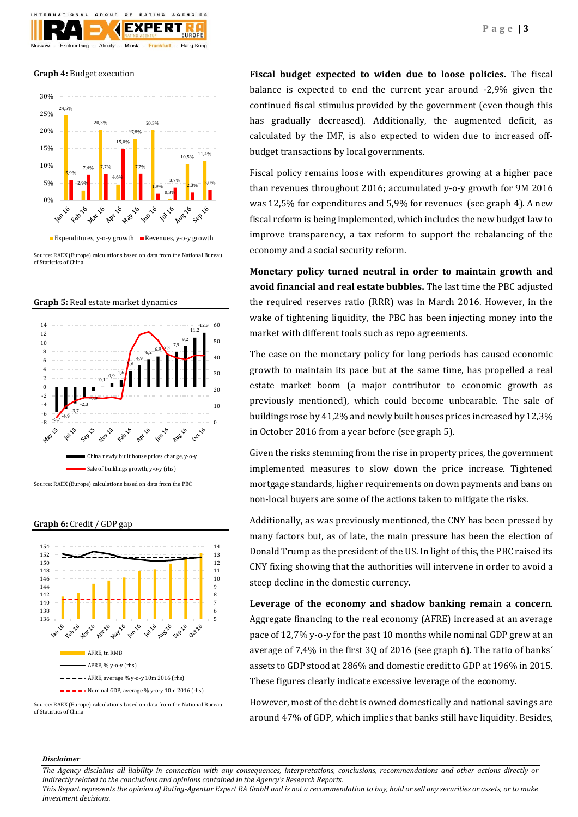

**Graph 4:** Budget execution



Source: RAEX (Europe) calculations based on data from the National Bureau of Statistics of China





**Graph 6:** Credit / GDP gap



Source: RAEX (Europe) calculations based on data from the National Bureau of Statistics of China

**Fiscal budget expected to widen due to loose policies.** The fiscal balance is expected to end the current year around -2,9% given the continued fiscal stimulus provided by the government (even though this has gradually decreased). Additionally, the augmented deficit, as calculated by the IMF, is also expected to widen due to increased offbudget transactions by local governments.

Fiscal policy remains loose with expenditures growing at a higher pace than revenues throughout 2016; accumulated y-o-y growth for 9M 2016 was 12,5% for expenditures and 5,9% for revenues (see graph 4). A new fiscal reform is being implemented, which includes the new budget law to improve transparency, a tax reform to support the rebalancing of the economy and a social security reform.

**Monetary policy turned neutral in order to maintain growth and avoid financial and real estate bubbles.** The last time the PBC adjusted the required reserves ratio (RRR) was in March 2016. However, in the wake of tightening liquidity, the PBC has been injecting money into the market with different tools such as repo agreements.

The ease on the monetary policy for long periods has caused economic growth to maintain its pace but at the same time, has propelled a real estate market boom (a major contributor to economic growth as previously mentioned), which could become unbearable. The sale of buildings rose by 41,2% and newly built houses prices increased by 12,3% in October 2016 from a year before (see graph 5).

Given the risks stemming from the rise in property prices, the government implemented measures to slow down the price increase. Tightened mortgage standards, higher requirements on down payments and bans on non-local buyers are some of the actions taken to mitigate the risks.

Additionally, as was previously mentioned, the CNY has been pressed by many factors but, as of late, the main pressure has been the election of Donald Trump as the president of the US. In light of this, the PBC raised its CNY fixing showing that the authorities will intervene in order to avoid a steep decline in the domestic currency.

**Leverage of the economy and shadow banking remain a concern**. Aggregate financing to the real economy (AFRE) increased at an average pace of 12,7% y-o-y for the past 10 months while nominal GDP grew at an average of 7,4% in the first 3Q of 2016 (see graph 6). The ratio of banks´ assets to GDP stood at 286% and domestic credit to GDP at 196% in 2015. These figures clearly indicate excessive leverage of the economy.

However, most of the debt is owned domestically and national savings are around 47% of GDP, which implies that banks still have liquidity. Besides,

# *Disclaimer*

*The Agency disclaims all liability in connection with any consequences, interpretations, conclusions, recommendations and other actions directly or indirectly related to the conclusions and opinions contained in the Agency's Research Reports.*

*This Report represents the opinion of Rating-Agentur Expert RA GmbH and is not a recommendation to buy, hold or sell any securities or assets, or to make investment decisions.*